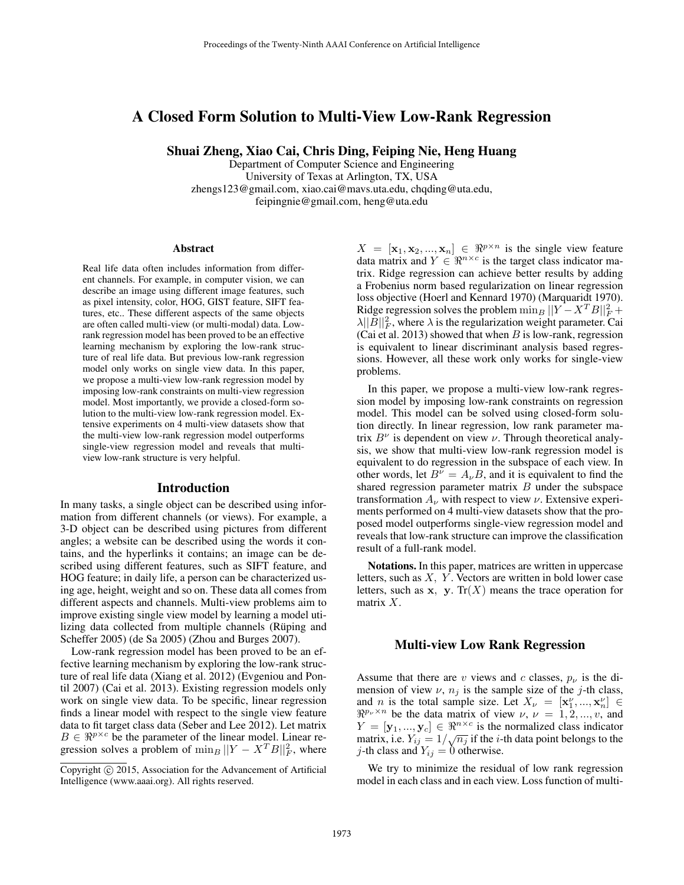# A Closed Form Solution to Multi-View Low-Rank Regression

Shuai Zheng, Xiao Cai, Chris Ding, Feiping Nie, Heng Huang

Department of Computer Science and Engineering University of Texas at Arlington, TX, USA zhengs123@gmail.com, xiao.cai@mavs.uta.edu, chqding@uta.edu, feipingnie@gmail.com, heng@uta.edu

#### Abstract

Real life data often includes information from different channels. For example, in computer vision, we can describe an image using different image features, such as pixel intensity, color, HOG, GIST feature, SIFT features, etc.. These different aspects of the same objects are often called multi-view (or multi-modal) data. Lowrank regression model has been proved to be an effective learning mechanism by exploring the low-rank structure of real life data. But previous low-rank regression model only works on single view data. In this paper, we propose a multi-view low-rank regression model by imposing low-rank constraints on multi-view regression model. Most importantly, we provide a closed-form solution to the multi-view low-rank regression model. Extensive experiments on 4 multi-view datasets show that the multi-view low-rank regression model outperforms single-view regression model and reveals that multiview low-rank structure is very helpful.

#### Introduction

In many tasks, a single object can be described using information from different channels (or views). For example, a 3-D object can be described using pictures from different angles; a website can be described using the words it contains, and the hyperlinks it contains; an image can be described using different features, such as SIFT feature, and HOG feature; in daily life, a person can be characterized using age, height, weight and so on. These data all comes from different aspects and channels. Multi-view problems aim to improve existing single view model by learning a model utilizing data collected from multiple channels (Rüping and Scheffer 2005) (de Sa 2005) (Zhou and Burges 2007).

Low-rank regression model has been proved to be an effective learning mechanism by exploring the low-rank structure of real life data (Xiang et al. 2012) (Evgeniou and Pontil 2007) (Cai et al. 2013). Existing regression models only work on single view data. To be specific, linear regression finds a linear model with respect to the single view feature data to fit target class data (Seber and Lee 2012). Let matrix  $B \in \Re^{p \times c}$  be the parameter of the linear model. Linear regression solves a problem of  $\min_B ||Y - X^T B||_F^2$ , where

 $X = [\mathbf{x}_1, \mathbf{x}_2, ..., \mathbf{x}_n] \in \Re^{p \times n}$  is the single view feature data matrix and  $Y \in \mathbb{R}^{n \times c}$  is the target class indicator matrix. Ridge regression can achieve better results by adding a Frobenius norm based regularization on linear regression loss objective (Hoerl and Kennard 1970) (Marquaridt 1970). Ridge regression solves the problem  $\min_B ||Y - X^T B||_F^2 +$  $\lambda ||\overline{B}||_F^2$ , where  $\lambda$  is the regularization weight parameter. Cai (Cai et al. 2013) showed that when  $B$  is low-rank, regression is equivalent to linear discriminant analysis based regressions. However, all these work only works for single-view problems.

In this paper, we propose a multi-view low-rank regression model by imposing low-rank constraints on regression model. This model can be solved using closed-form solution directly. In linear regression, low rank parameter matrix  $B^{\nu}$  is dependent on view  $\nu$ . Through theoretical analysis, we show that multi-view low-rank regression model is equivalent to do regression in the subspace of each view. In other words, let  $B^{\nu} = A_{\nu}B$ , and it is equivalent to find the shared regression parameter matrix  $B$  under the subspace transformation  $A_{\nu}$  with respect to view  $\nu$ . Extensive experiments performed on 4 multi-view datasets show that the proposed model outperforms single-view regression model and reveals that low-rank structure can improve the classification result of a full-rank model.

Notations. In this paper, matrices are written in uppercase letters, such as  $X$ ,  $Y$ . Vectors are written in bold lower case letters, such as  $x$ ,  $y$ . Tr $(X)$  means the trace operation for matrix X.

### Multi-view Low Rank Regression

Assume that there are v views and c classes,  $p_{\nu}$  is the dimension of view  $\nu$ ,  $n_j$  is the sample size of the j-th class, and *n* is the total sample size. Let  $X_{\nu} = [\mathbf{x}_1^{\nu}, ..., \mathbf{x}_n^{\nu}] \in$  $\Re^{p_{\nu}\times n}$  be the data matrix of view  $\nu, \nu = 1, 2, ..., v$ , and  $Y = [\mathbf{y}_1, ..., \mathbf{y}_c] \in \Re^{n \times c}$  is the normalized class indicator  $T = [\mathbf{y}_1, ..., \mathbf{y}_c] \in \mathbb{R}^n$  is the normalized class indicator<br>matrix, i.e.  $Y_{ij} = 1/\sqrt{n_j}$  if the *i*-th data point belongs to the *j*-th class and  $Y_{ij} = 0$  otherwise.

We try to minimize the residual of low rank regression model in each class and in each view. Loss function of multi-

Copyright (c) 2015, Association for the Advancement of Artificial Intelligence (www.aaai.org). All rights reserved.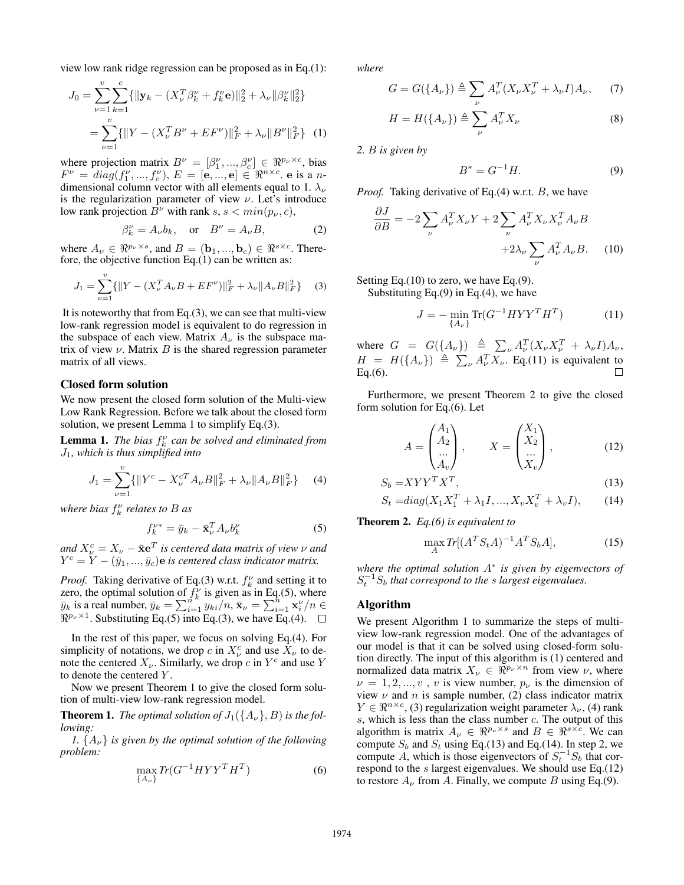view low rank ridge regression can be proposed as in Eq.(1):

$$
J_0 = \sum_{\nu=1}^{v} \sum_{k=1}^{c} \{ ||\mathbf{y}_k - (X_{\nu}^T \beta_k^{\nu} + f_k^{\nu} \mathbf{e})||_2^2 + \lambda_{\nu} ||\beta_k^{\nu}||_2^2 \}
$$
  
= 
$$
\sum_{\nu=1}^{v} \{ ||Y - (X_{\nu}^T B^{\nu} + E F^{\nu})||_F^2 + \lambda_{\nu} ||B^{\nu}||_F^2 \} (1)
$$

where projection matrix  $B^{\nu} = [\beta_1^{\nu}, ..., \beta_c^{\nu}] \in \Re^{p_{\nu} \times c}$ , bias  $F^{\nu} = diag(f_1^{\nu},...,f_c^{\nu}), E = [\mathbf{e},...,\mathbf{e}] \in \Re^{n \times c}$ . e is a ndimensional column vector with all elements equal to 1.  $\lambda_{\nu}$ is the regularization parameter of view  $\nu$ . Let's introduce low rank projection  $B^{\nu}$  with rank s,  $s < min(p_{\nu}, c)$ ,

$$
\beta_k^{\nu} = A_{\nu} b_k, \quad \text{or} \quad B^{\nu} = A_{\nu} B, \tag{2}
$$

where  $A_{\nu} \in \Re^{p_{\nu} \times s}$ , and  $B = (\mathbf{b}_1, ..., \mathbf{b}_c) \in \Re^{s \times c}$ . Therefore, the objective function Eq. $(1)$  can be written as:

$$
J_1 = \sum_{\nu=1}^{v} \{ ||Y - (X_{\nu}^T A_{\nu} B + E F^{\nu})||_F^2 + \lambda_{\nu} ||A_{\nu} B||_F^2 \} \tag{3}
$$

It is noteworthy that from Eq. $(3)$ , we can see that multi-view low-rank regression model is equivalent to do regression in the subspace of each view. Matrix  $A_{\nu}$  is the subspace matrix of view  $\nu$ . Matrix  $B$  is the shared regression parameter matrix of all views.

### Closed form solution

We now present the closed form solution of the Multi-view Low Rank Regression. Before we talk about the closed form solution, we present Lemma 1 to simplify Eq.(3).

**Lemma 1.** *The bias*  $f_k^{\nu}$  *can be solved and eliminated from* J1*, which is thus simplified into*

$$
J_1 = \sum_{\nu=1}^{v} \{ \| Y^c - X_{\nu}^{cT} A_{\nu} B \|_F^2 + \lambda_{\nu} \| A_{\nu} B \|_F^2 \} \tag{4}
$$

*where bias* f ν k *relates to* B *as*

$$
f_k^{\nu*} = \bar{y}_k - \bar{\mathbf{x}}_\nu^T A_\nu b_k^{\nu}
$$
 (5)

 $and$   $X_{\nu}^{c} = X_{\nu} - \bar{\mathbf{x}} \mathbf{e}^{T}$  is centered data matrix of view  $\nu$  and  $Y^{c} = \overline{Y} - (\overline{y}_{1},...,\overline{y}_{c})$ e is centered class indicator matrix.

*Proof.* Taking derivative of Eq.(3) w.r.t.  $f_k^{\nu}$  and setting it to zero, the optimal solution of  $f_k^{\nu}$  is given as in Eq.(5), where  $\bar{y}_k$  is a real number,  $\bar{y}_k = \sum_{i=1}^{n^k} y_{ki}/n$ ,  $\bar{\mathbf{x}}_\nu = \sum_{i=1}^{n^k} \mathbf{x}_i^{\nu}/n \in$  $\mathbb{R}^{p_{\nu} \times 1}$ . Substituting Eq.(5) into Eq.(3), we have Eq.(4).

In the rest of this paper, we focus on solving Eq.(4). For simplicity of notations, we drop c in  $X_{\nu}^{c}$  and use  $\hat{X}_{\nu}$  to denote the centered  $X_{\nu}$ . Similarly, we drop c in  $Y^{c}$  and use Y to denote the centered Y .

Now we present Theorem 1 to give the closed form solution of multi-view low-rank regression model.

**Theorem 1.** *The optimal solution of*  $J_1({A_\nu}, B)$  *is the following:*

*1.*  $\{A_{\nu}\}\$ is given by the optimal solution of the following *problem:*

$$
\max_{\{A_{\nu}\}} Tr(G^{-1}HYY^TH^T) \tag{6}
$$

*where*

$$
G = G({A\nu}) \triangleq \sum_{\nu} A_{\nu}^T (X_{\nu} X_{\nu}^T + \lambda_{\nu} I) A_{\nu}, \qquad (7)
$$

$$
H = H(\lbrace A_{\nu} \rbrace) \triangleq \sum_{\nu} A_{\nu}^{T} X_{\nu}
$$
 (8)

*2.* B *is given by*

$$
B^* = G^{-1}H.\tag{9}
$$

*Proof.* Taking derivative of Eq.(4) w.r.t. B, we have

$$
\frac{\partial J}{\partial B} = -2 \sum_{\nu} A_{\nu}^T X_{\nu} Y + 2 \sum_{\nu} A_{\nu}^T X_{\nu} X_{\nu}^T A_{\nu} B
$$

$$
+ 2 \lambda_{\nu} \sum_{\nu} A_{\nu}^T A_{\nu} B. \quad (10)
$$

Setting Eq.(10) to zero, we have Eq.(9).

Substituting Eq. $(9)$  in Eq. $(4)$ , we have

$$
J = -\min_{\{A_{\nu}\}} \text{Tr}(G^{-1}HYY^TH^T) \tag{11}
$$

where  $G = G({A_{\nu}}) \triangleq \sum_{\nu} A_{\nu}^{T} (X_{\nu} X_{\nu}^{T} + \lambda_{\nu} I) A_{\nu}$ ,  $H = H({A<sub>\nu</sub>}) \triangleq \sum_{\nu} A_{\nu}^T X_{\nu}$ . Eq.(11) is equivalent to  $Eq.(6)$ .

Furthermore, we present Theorem 2 to give the closed form solution for Eq.(6). Let

$$
A = \begin{pmatrix} A_1 \\ A_2 \\ \dots \\ A_v \end{pmatrix}, \qquad X = \begin{pmatrix} X_1 \\ X_2 \\ \dots \\ X_v \end{pmatrix}, \tag{12}
$$

$$
S_b = XYY^T X^T,\tag{13}
$$

$$
S_t = diag(X_1 X_1^T + \lambda_1 I, ..., X_v X_v^T + \lambda_v I),
$$
 (14)

Theorem 2. *Eq.(6) is equivalent to*

$$
\max_{A} \text{Tr}[(A^T S_t A)^{-1} A^T S_b A],\tag{15}
$$

*where the optimal solution* A<sup>∗</sup> *is given by eigenvectors of*  $S_t^{-1} S_b$  that correspond to the s largest eigenvalues.

#### Algorithm

We present Algorithm 1 to summarize the steps of multiview low-rank regression model. One of the advantages of our model is that it can be solved using closed-form solution directly. The input of this algorithm is (1) centered and normalized data matrix  $X_{\nu} \in \mathbb{R}^{p_{\nu} \times n}$  from view  $\nu$ , where  $\nu = 1, 2, ..., v$ , v is view number,  $p_{\nu}$  is the dimension of view  $\nu$  and n is sample number, (2) class indicator matrix  $Y \in \mathbb{R}^{n \times c}$ , (3) regularization weight parameter  $\lambda_{\nu}$ , (4) rank  $s$ , which is less than the class number  $c$ . The output of this algorithm is matrix  $A_{\nu} \in \Re^{p_{\nu} \times s}$  and  $B \in \Re^{s \times c}$ . We can compute  $S_b$  and  $S_t$  using Eq.(13) and Eq.(14). In step 2, we compute A, which is those eigenvectors of  $S_t^{-1}S_b$  that correspond to the  $s$  largest eigenvalues. We should use Eq.(12) to restore  $A_{\nu}$  from A. Finally, we compute B using Eq.(9).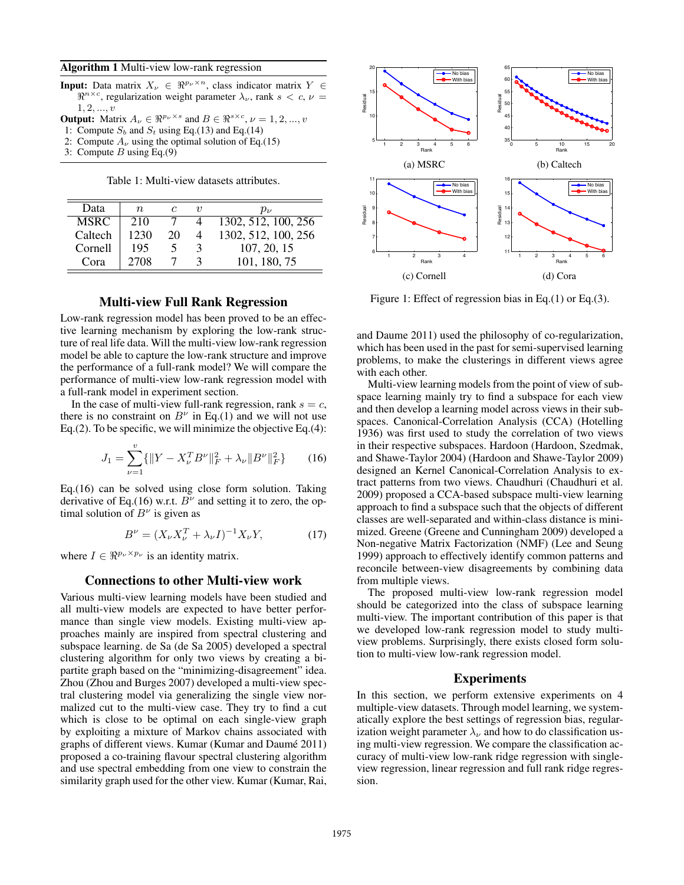#### Algorithm 1 Multi-view low-rank regression

- **Input:** Data matrix  $X_{\nu} \in \Re^{p_{\nu} \times n}$ , class indicator matrix  $Y \in$  $\Re^{n \times c}$ , regularization weight parameter  $\lambda_{\nu}$ , rank  $s < c, \nu =$  $1,2,...,v$
- **Output:** Matrix  $A_{\nu} \in \mathbb{R}^{p_{\nu} \times s}$  and  $B \in \mathbb{R}^{s \times c}$ ,  $\nu = 1, 2, ..., v$
- 1: Compute  $S_b$  and  $S_t$  using Eq.(13) and Eq.(14)
- 2: Compute  $A_{\nu}$  using the optimal solution of Eq.(15)
- 3: Compute  $B$  using Eq.(9)

Table 1: Multi-view datasets attributes.

| Data        | $n_{\cdot}$ |    | I) | $p_{\nu}$           |
|-------------|-------------|----|----|---------------------|
| <b>MSRC</b> | 210         |    |    | 1302, 512, 100, 256 |
| Caltech     | 1230        | 20 |    | 1302, 512, 100, 256 |
| Cornell     | 195         |    | 3  | 107, 20, 15         |
| Cora        | 2708        |    |    | 101, 180, 75        |

### Multi-view Full Rank Regression

Low-rank regression model has been proved to be an effective learning mechanism by exploring the low-rank structure of real life data. Will the multi-view low-rank regression model be able to capture the low-rank structure and improve the performance of a full-rank model? We will compare the performance of multi-view low-rank regression model with a full-rank model in experiment section.

In the case of multi-view full-rank regression, rank  $s = c$ , there is no constraint on  $B^{\nu}$  in Eq.(1) and we will not use Eq.(2). To be specific, we will minimize the objective Eq.(4):

$$
J_1 = \sum_{\nu=1}^{v} \{ \| Y - X_{\nu}^T B^{\nu} \|_F^2 + \lambda_{\nu} \| B^{\nu} \|_F^2 \}
$$
 (16)

Eq.(16) can be solved using close form solution. Taking derivative of Eq.(16) w.r.t.  $B^{\nu}$  and setting it to zero, the optimal solution of  $B^{\nu}$  is given as

$$
B^{\nu} = (X_{\nu} X_{\nu}^{T} + \lambda_{\nu} I)^{-1} X_{\nu} Y, \qquad (17)
$$

where  $I \in \Re^{p_{\nu} \times p_{\nu}}$  is an identity matrix.

### Connections to other Multi-view work

Various multi-view learning models have been studied and all multi-view models are expected to have better performance than single view models. Existing multi-view approaches mainly are inspired from spectral clustering and subspace learning. de Sa (de Sa 2005) developed a spectral clustering algorithm for only two views by creating a bipartite graph based on the "minimizing-disagreement" idea. Zhou (Zhou and Burges 2007) developed a multi-view spectral clustering model via generalizing the single view normalized cut to the multi-view case. They try to find a cut which is close to be optimal on each single-view graph by exploiting a mixture of Markov chains associated with graphs of different views. Kumar (Kumar and Daumé 2011) proposed a co-training flavour spectral clustering algorithm and use spectral embedding from one view to constrain the similarity graph used for the other view. Kumar (Kumar, Rai,



Figure 1: Effect of regression bias in Eq.(1) or Eq.(3).

and Daume 2011) used the philosophy of co-regularization, which has been used in the past for semi-supervised learning problems, to make the clusterings in different views agree with each other.

Multi-view learning models from the point of view of subspace learning mainly try to find a subspace for each view and then develop a learning model across views in their subspaces. Canonical-Correlation Analysis (CCA) (Hotelling 1936) was first used to study the correlation of two views in their respective subspaces. Hardoon (Hardoon, Szedmak, and Shawe-Taylor 2004) (Hardoon and Shawe-Taylor 2009) designed an Kernel Canonical-Correlation Analysis to extract patterns from two views. Chaudhuri (Chaudhuri et al. 2009) proposed a CCA-based subspace multi-view learning approach to find a subspace such that the objects of different classes are well-separated and within-class distance is minimized. Greene (Greene and Cunningham 2009) developed a Non-negative Matrix Factorization (NMF) (Lee and Seung 1999) approach to effectively identify common patterns and reconcile between-view disagreements by combining data from multiple views.

The proposed multi-view low-rank regression model should be categorized into the class of subspace learning multi-view. The important contribution of this paper is that we developed low-rank regression model to study multiview problems. Surprisingly, there exists closed form solution to multi-view low-rank regression model.

### Experiments

In this section, we perform extensive experiments on 4 multiple-view datasets. Through model learning, we systematically explore the best settings of regression bias, regularization weight parameter  $\lambda_{\nu}$  and how to do classification using multi-view regression. We compare the classification accuracy of multi-view low-rank ridge regression with singleview regression, linear regression and full rank ridge regression.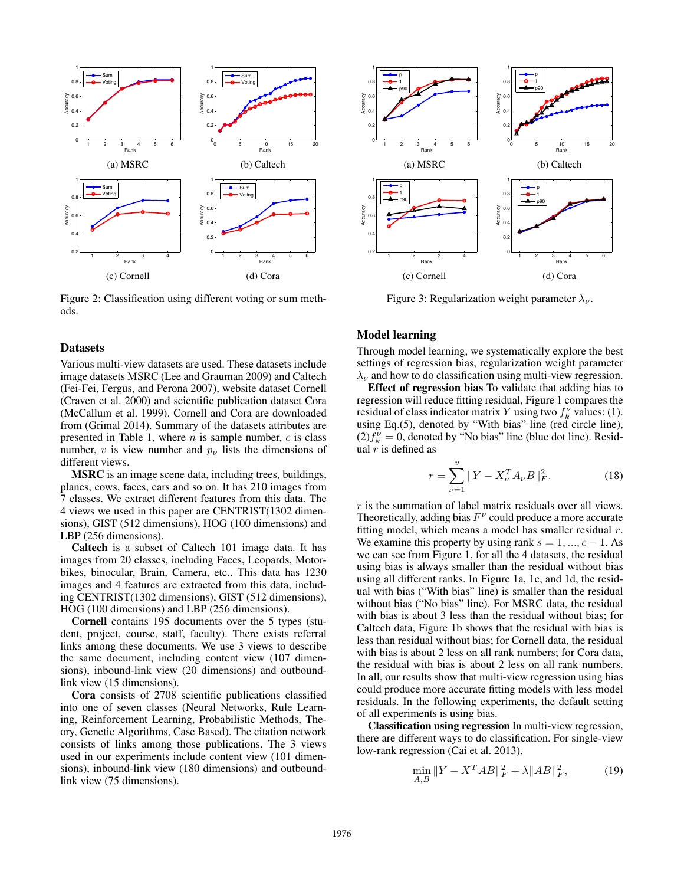

Figure 2: Classification using different voting or sum methods.

#### **Datasets**

Various multi-view datasets are used. These datasets include image datasets MSRC (Lee and Grauman 2009) and Caltech (Fei-Fei, Fergus, and Perona 2007), website dataset Cornell (Craven et al. 2000) and scientific publication dataset Cora (McCallum et al. 1999). Cornell and Cora are downloaded from (Grimal 2014). Summary of the datasets attributes are presented in Table 1, where  $n$  is sample number,  $c$  is class number, v is view number and  $p_{\nu}$  lists the dimensions of different views.

MSRC is an image scene data, including trees, buildings, planes, cows, faces, cars and so on. It has 210 images from 7 classes. We extract different features from this data. The 4 views we used in this paper are CENTRIST(1302 dimensions), GIST (512 dimensions), HOG (100 dimensions) and LBP (256 dimensions).

Caltech is a subset of Caltech 101 image data. It has images from 20 classes, including Faces, Leopards, Motorbikes, binocular, Brain, Camera, etc.. This data has 1230 images and 4 features are extracted from this data, including CENTRIST(1302 dimensions), GIST (512 dimensions), HOG (100 dimensions) and LBP (256 dimensions).

Cornell contains 195 documents over the 5 types (student, project, course, staff, faculty). There exists referral links among these documents. We use 3 views to describe the same document, including content view (107 dimensions), inbound-link view (20 dimensions) and outboundlink view (15 dimensions).

Cora consists of 2708 scientific publications classified into one of seven classes (Neural Networks, Rule Learning, Reinforcement Learning, Probabilistic Methods, Theory, Genetic Algorithms, Case Based). The citation network consists of links among those publications. The 3 views used in our experiments include content view (101 dimensions), inbound-link view (180 dimensions) and outboundlink view (75 dimensions).



Figure 3: Regularization weight parameter  $\lambda_{\nu}$ .

### Model learning

Through model learning, we systematically explore the best settings of regression bias, regularization weight parameter  $\lambda_{\nu}$  and how to do classification using multi-view regression.

Effect of regression bias To validate that adding bias to regression will reduce fitting residual, Figure 1 compares the residual of class indicator matrix Y using two  $f_k^{\nu}$  values: (1). using Eq.(5), denoted by "With bias" line (red circle line),  $(2) f_k^{\nu} = 0$ , denoted by "No bias" line (blue dot line). Residual  $r$  is defined as

$$
r = \sum_{\nu=1}^{v} \|Y - X_{\nu}^{T} A_{\nu} B\|_{F}^{2}.
$$
 (18)

r is the summation of label matrix residuals over all views. Theoretically, adding bias  $F<sup>\nu</sup>$  could produce a more accurate fitting model, which means a model has smaller residual  $r$ . We examine this property by using rank  $s = 1, \ldots, c - 1$ . As we can see from Figure 1, for all the 4 datasets, the residual using bias is always smaller than the residual without bias using all different ranks. In Figure 1a, 1c, and 1d, the residual with bias ("With bias" line) is smaller than the residual without bias ("No bias" line). For MSRC data, the residual with bias is about 3 less than the residual without bias; for Caltech data, Figure 1b shows that the residual with bias is less than residual without bias; for Cornell data, the residual with bias is about 2 less on all rank numbers; for Cora data, the residual with bias is about 2 less on all rank numbers. In all, our results show that multi-view regression using bias could produce more accurate fitting models with less model residuals. In the following experiments, the default setting of all experiments is using bias.

Classification using regression In multi-view regression, there are different ways to do classification. For single-view low-rank regression (Cai et al. 2013),

$$
\min_{A,B} \|Y - X^T A B\|_F^2 + \lambda \|AB\|_F^2, \tag{19}
$$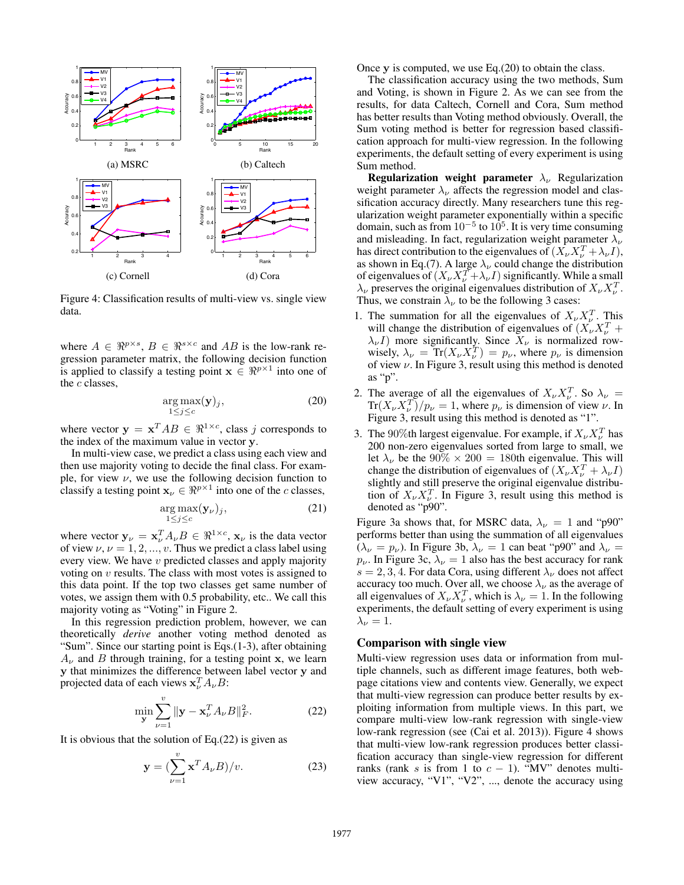

Figure 4: Classification results of multi-view vs. single view data.

where  $A \in \mathbb{R}^{p \times s}$ ,  $B \in \mathbb{R}^{s \times c}$  and AB is the low-rank regression parameter matrix, the following decision function is applied to classify a testing point  $\mathbf{x} \in \mathbb{R}^{p \times 1}$  into one of the  $c$  classes,

$$
\underset{1 \le j \le c}{\arg \max} (\mathbf{y})_j,\tag{20}
$$

where vector  $y = x^T AB \in \Re^{1 \times c}$ , class j corresponds to the index of the maximum value in vector y.

In multi-view case, we predict a class using each view and then use majority voting to decide the final class. For example, for view  $\nu$ , we use the following decision function to classify a testing point  $\mathbf{x}_{\nu} \in \mathbb{R}^{p \times 1}$  into one of the c classes,

$$
\arg \max_{1 \le j \le c} (\mathbf{y}_{\nu})_j,\tag{21}
$$

where vector  $y_{\nu} = x_{\nu}^{T} A_{\nu} B \in \Re^{1 \times c}$ ,  $x_{\nu}$  is the data vector of view  $\nu, \nu = 1, 2, ..., v$ . Thus we predict a class label using every view. We have v predicted classes and apply majority voting on  $v$  results. The class with most votes is assigned to this data point. If the top two classes get same number of votes, we assign them with 0.5 probability, etc.. We call this majority voting as "Voting" in Figure 2.

In this regression prediction problem, however, we can theoretically *derive* another voting method denoted as "Sum". Since our starting point is Eqs.(1-3), after obtaining  $A_{\nu}$  and B through training, for a testing point x, we learn y that minimizes the difference between label vector y and projected data of each views  $\mathbf{x}_{\nu}^{T} A_{\nu} B$ :

$$
\min_{\mathbf{y}} \sum_{\nu=1}^{v} \|\mathbf{y} - \mathbf{x}_{\nu}^{T} A_{\nu} B\|_{F}^{2}.
$$
 (22)

It is obvious that the solution of  $Eq.(22)$  is given as

$$
\mathbf{y} = \left(\sum_{\nu=1}^{v} \mathbf{x}^{T} A_{\nu} B\right) / v. \tag{23}
$$

Once  $\bf{v}$  is computed, we use Eq.(20) to obtain the class.

The classification accuracy using the two methods, Sum and Voting, is shown in Figure 2. As we can see from the results, for data Caltech, Cornell and Cora, Sum method has better results than Voting method obviously. Overall, the Sum voting method is better for regression based classification approach for multi-view regression. In the following experiments, the default setting of every experiment is using Sum method.

Regularization weight parameter  $\lambda_{\nu}$  Regularization weight parameter  $\lambda_{\nu}$  affects the regression model and classification accuracy directly. Many researchers tune this regularization weight parameter exponentially within a specific domain, such as from  $10^{-5}$  to  $10^5$ . It is very time consuming and misleading. In fact, regularization weight parameter  $\lambda_{\nu}$ has direct contribution to the eigenvalues of  $(\hat{X}_\nu X_\nu^T + \lambda_\nu I)$ , as shown in Eq.(7). A large  $\lambda_{\nu}$  could change the distribution of eigenvalues of  $(X_{\nu}X_{\nu}^T + \lambda_{\nu}I)$  significantly. While a small  $\lambda_{\nu}$  preserves the original eigenvalues distribution of  $X_{\nu}X_{\nu}^{T}$ . Thus, we constrain  $\lambda_{\nu}$  to be the following 3 cases:

- 1. The summation for all the eigenvalues of  $X_{\nu} X_{\nu}^T$ . This will change the distribution of eigenvalues of  $(X_{\nu} X_{\nu}^T +$  $\lambda_{\nu}I$ ) more significantly. Since  $X_{\nu}$  is normalized rowwisely,  $\lambda_{\nu}$  = Tr( $X_{\nu}X_{\nu}^{T}$ ) =  $p_{\nu}$ , where  $p_{\nu}$  is dimension of view  $\nu$ . In Figure 3, result using this method is denoted as "p".
- 2. The average of all the eigenvalues of  $X_{\nu} X_{\nu}^T$ . So  $\lambda_{\nu} =$  $\text{Tr}(X_{\nu}X_{\nu}^{T})/p_{\nu}=1$ , where  $p_{\nu}$  is dimension of view  $\nu$ . In Figure 3, result using this method is denoted as "1".
- 3. The 90%th largest eigenvalue. For example, if  $X_{\nu} X_{\nu}^{T}$  has 200 non-zero eigenvalues sorted from large to small, we let  $\lambda_{\nu}$  be the 90%  $\times$  200 = 180th eigenvalue. This will change the distribution of eigenvalues of  $(X_{\nu}X_{\nu}^T + \lambda_{\nu}I)$ slightly and still preserve the original eigenvalue distribution of  $X_{\nu}X_{\nu}^{T}$ . In Figure 3, result using this method is denoted as "p90".

Figure 3a shows that, for MSRC data,  $\lambda_{\nu} = 1$  and "p90" performs better than using the summation of all eigenvalues  $(\lambda_{\nu} = p_{\nu})$ . In Figure 3b,  $\lambda_{\nu} = 1$  can beat "p90" and  $\lambda_{\nu} =$  $p_{\nu}$ . In Figure 3c,  $\lambda_{\nu} = 1$  also has the best accuracy for rank  $s = 2, 3, 4$ . For data Cora, using different  $\lambda_{\nu}$  does not affect accuracy too much. Over all, we choose  $\lambda_{\nu}$  as the average of all eigenvalues of  $X_{\nu} X_{\nu}^T$ , which is  $\lambda_{\nu} = 1$ . In the following experiments, the default setting of every experiment is using  $\lambda_{\nu}=1.$ 

#### Comparison with single view

Multi-view regression uses data or information from multiple channels, such as different image features, both webpage citations view and contents view. Generally, we expect that multi-view regression can produce better results by exploiting information from multiple views. In this part, we compare multi-view low-rank regression with single-view low-rank regression (see (Cai et al. 2013)). Figure 4 shows that multi-view low-rank regression produces better classification accuracy than single-view regression for different ranks (rank s is from 1 to  $c - 1$ ). "MV" denotes multiview accuracy, "V1", "V2", ..., denote the accuracy using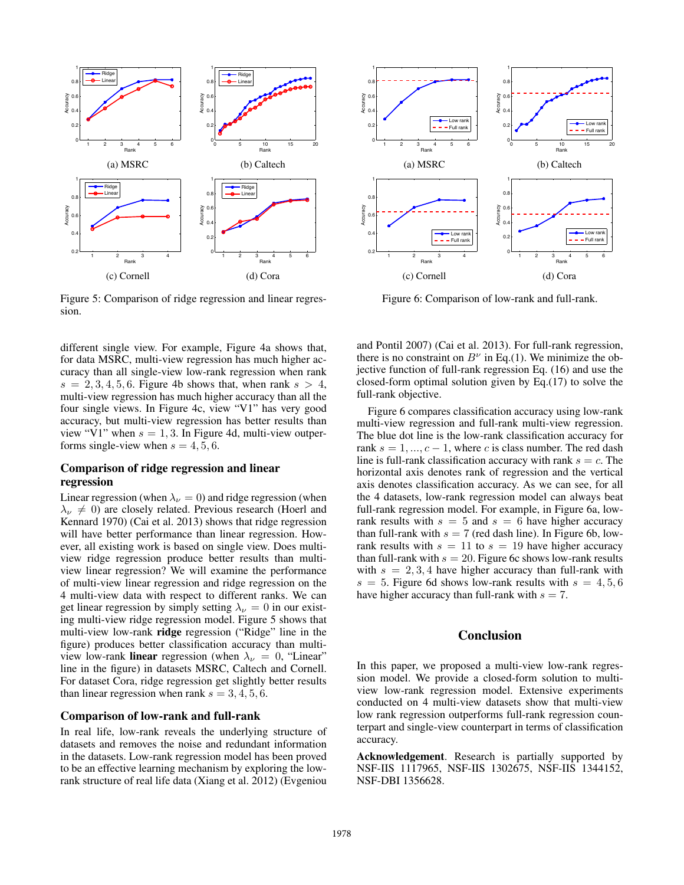

Figure 5: Comparison of ridge regression and linear regression.

different single view. For example, Figure 4a shows that, for data MSRC, multi-view regression has much higher accuracy than all single-view low-rank regression when rank  $s = 2, 3, 4, 5, 6$ . Figure 4b shows that, when rank  $s > 4$ , multi-view regression has much higher accuracy than all the four single views. In Figure 4c, view "V1" has very good accuracy, but multi-view regression has better results than view "V1" when  $s = 1, 3$ . In Figure 4d, multi-view outperforms single-view when  $s = 4, 5, 6$ .

### Comparison of ridge regression and linear regression

Linear regression (when  $\lambda_{\nu} = 0$ ) and ridge regression (when  $\lambda_{\nu} \neq 0$ ) are closely related. Previous research (Hoerl and Kennard 1970) (Cai et al. 2013) shows that ridge regression will have better performance than linear regression. However, all existing work is based on single view. Does multiview ridge regression produce better results than multiview linear regression? We will examine the performance of multi-view linear regression and ridge regression on the 4 multi-view data with respect to different ranks. We can get linear regression by simply setting  $\lambda_{\nu} = 0$  in our existing multi-view ridge regression model. Figure 5 shows that multi-view low-rank ridge regression ("Ridge" line in the figure) produces better classification accuracy than multiview low-rank linear regression (when  $\lambda_{\nu} = 0$ , "Linear" line in the figure) in datasets MSRC, Caltech and Cornell. For dataset Cora, ridge regression get slightly better results than linear regression when rank  $s = 3, 4, 5, 6$ .

#### Comparison of low-rank and full-rank

In real life, low-rank reveals the underlying structure of datasets and removes the noise and redundant information in the datasets. Low-rank regression model has been proved to be an effective learning mechanism by exploring the lowrank structure of real life data (Xiang et al. 2012) (Evgeniou



Figure 6: Comparison of low-rank and full-rank.

and Pontil 2007) (Cai et al. 2013). For full-rank regression, there is no constraint on  $B^{\nu}$  in Eq.(1). We minimize the objective function of full-rank regression Eq. (16) and use the closed-form optimal solution given by Eq.(17) to solve the full-rank objective.

Figure 6 compares classification accuracy using low-rank multi-view regression and full-rank multi-view regression. The blue dot line is the low-rank classification accuracy for rank  $s = 1, ..., c - 1$ , where c is class number. The red dash line is full-rank classification accuracy with rank  $s = c$ . The horizontal axis denotes rank of regression and the vertical axis denotes classification accuracy. As we can see, for all the 4 datasets, low-rank regression model can always beat full-rank regression model. For example, in Figure 6a, lowrank results with  $s = 5$  and  $s = 6$  have higher accuracy than full-rank with  $s = 7$  (red dash line). In Figure 6b, lowrank results with  $s = 11$  to  $s = 19$  have higher accuracy than full-rank with  $s = 20$ . Figure 6c shows low-rank results with  $s = 2, 3, 4$  have higher accuracy than full-rank with  $s = 5$ . Figure 6d shows low-rank results with  $s = 4, 5, 6$ have higher accuracy than full-rank with  $s = 7$ .

# Conclusion

In this paper, we proposed a multi-view low-rank regression model. We provide a closed-form solution to multiview low-rank regression model. Extensive experiments conducted on 4 multi-view datasets show that multi-view low rank regression outperforms full-rank regression counterpart and single-view counterpart in terms of classification accuracy.

Acknowledgement. Research is partially supported by NSF-IIS 1117965, NSF-IIS 1302675, NSF-IIS 1344152, NSF-DBI 1356628.